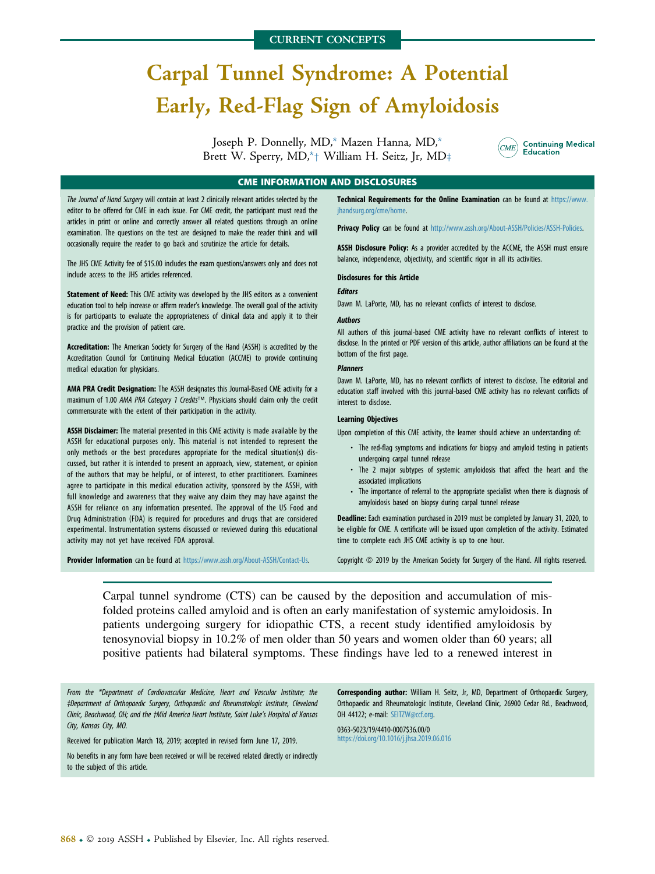# Carpal Tunnel Syndrome: A Potential Early, Red-Flag Sign of Amyloidosis

Joseph P. Donnelly, MD,\* Mazen Hanna, MD,\* Brett W. Sperry, MD,\*† William H. Seitz, Jr, MD‡



# CME INFORMATION AND DISCLOSURES

The Journal of Hand Surgery will contain at least 2 clinically relevant articles selected by the editor to be offered for CME in each issue. For CME credit, the participant must read the articles in print or online and correctly answer all related questions through an online examination. The questions on the test are designed to make the reader think and will occasionally require the reader to go back and scrutinize the article for details.

The JHS CME Activity fee of \$15.00 includes the exam questions/answers only and does not include access to the JHS articles referenced.

Statement of Need: This CME activity was developed by the JHS editors as a convenient education tool to help increase or affirm reader's knowledge. The overall goal of the activity is for participants to evaluate the appropriateness of clinical data and apply it to their practice and the provision of patient care.

Accreditation: The American Society for Surgery of the Hand (ASSH) is accredited by the Accreditation Council for Continuing Medical Education (ACCME) to provide continuing medical education for physicians.

AMA PRA Credit Designation: The ASSH designates this Journal-Based CME activity for a maximum of 1.00 AMA PRA Category 1 Credits™. Physicians should claim only the credit commensurate with the extent of their participation in the activity.

ASSH Disclaimer: The material presented in this CME activity is made available by the ASSH for educational purposes only. This material is not intended to represent the only methods or the best procedures appropriate for the medical situation(s) discussed, but rather it is intended to present an approach, view, statement, or opinion of the authors that may be helpful, or of interest, to other practitioners. Examinees agree to participate in this medical education activity, sponsored by the ASSH, with full knowledge and awareness that they waive any claim they may have against the ASSH for reliance on any information presented. The approval of the US Food and Drug Administration (FDA) is required for procedures and drugs that are considered experimental. Instrumentation systems discussed or reviewed during this educational activity may not yet have received FDA approval.

Provider Information can be found at <https://www.assh.org/About-ASSH/Contact-Us>.

Technical Requirements for the Online Examination can be found at [https://www.](https://www.jhandsurg.org/cme/home) [jhandsurg.org/cme/home.](https://www.jhandsurg.org/cme/home)

Privacy Policy can be found at [http://www.assh.org/About-ASSH/Policies/ASSH-Policies.](http://www.assh.org/About-ASSH/Policies/ASSH-Policies)

ASSH Disclosure Policy: As a provider accredited by the ACCME, the ASSH must ensure balance, independence, objectivity, and scientific rigor in all its activities.

#### Disclosures for this Article

**Editors** 

Dawn M. LaPorte, MD, has no relevant conflicts of interest to disclose.

#### Authors

All authors of this journal-based CME activity have no relevant conflicts of interest to disclose. In the printed or PDF version of this article, author affiliations can be found at the bottom of the first page.

#### **Planners**

Dawn M. LaPorte, MD, has no relevant conflicts of interest to disclose. The editorial and education staff involved with this journal-based CME activity has no relevant conflicts of interest to disclose.

#### Learning Objectives

Upon completion of this CME activity, the learner should achieve an understanding of:

- The red-flag symptoms and indications for biopsy and amyloid testing in patients undergoing carpal tunnel release
- The 2 major subtypes of systemic amyloidosis that affect the heart and the associated implications
- The importance of referral to the appropriate specialist when there is diagnosis of amyloidosis based on biopsy during carpal tunnel release

Deadline: Each examination purchased in 2019 must be completed by January 31, 2020, to be eligible for CME. A certificate will be issued upon completion of the activity. Estimated time to complete each JHS CME activity is up to one hour.

Copyright  $@$  2019 by the American Society for Surgery of the Hand. All rights reserved.

Carpal tunnel syndrome (CTS) can be caused by the deposition and accumulation of misfolded proteins called amyloid and is often an early manifestation of systemic amyloidosis. In patients undergoing surgery for idiopathic CTS, a recent study identified amyloidosis by tenosynovial biopsy in 10.2% of men older than 50 years and women older than 60 years; all positive patients had bilateral symptoms. These findings have led to a renewed interest in

From the \*Department of Cardiovascular Medicine, Heart and Vascular Institute; the ‡Department of Orthopaedic Surgery, Orthopaedic and Rheumatologic Institute, Cleveland Clinic, Beachwood, OH; and the †Mid America Heart Institute, Saint Luke's Hospital of Kansas City, Kansas City, MO.

Received for publication March 18, 2019; accepted in revised form June 17, 2019.

No benefits in any form have been received or will be received related directly or indirectly to the subject of this article.

Corresponding author: William H. Seitz, Jr, MD, Department of Orthopaedic Surgery, Orthopaedic and Rheumatologic Institute, Cleveland Clinic, 26900 Cedar Rd., Beachwood, OH 44122; e-mail: [SEITZW@ccf.org.](mailto:SEITZW@ccf.org)

0363-5023/19/4410-0007\$36.00/0 <https://doi.org/10.1016/j.jhsa.2019.06.016>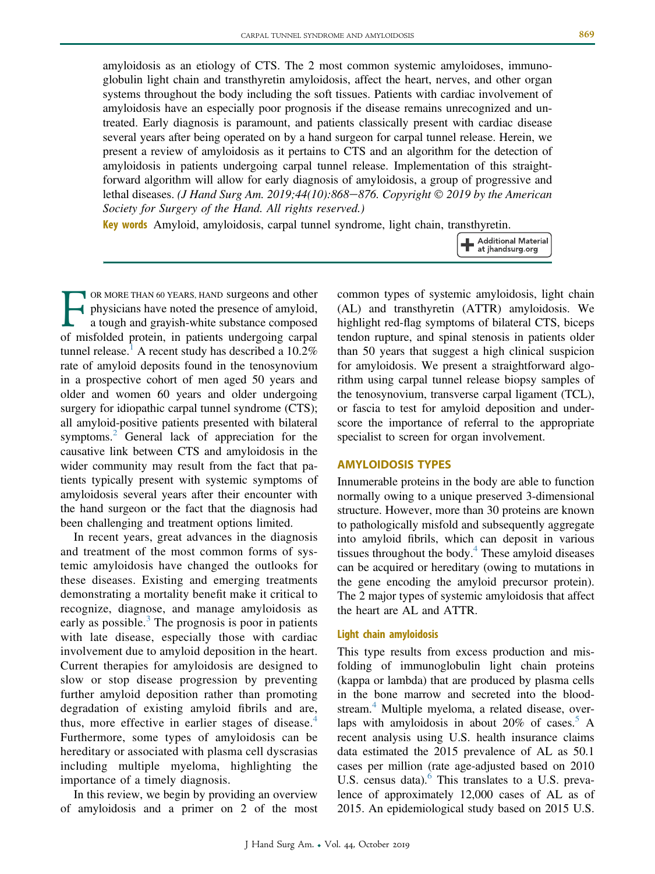amyloidosis as an etiology of CTS. The 2 most common systemic amyloidoses, immunoglobulin light chain and transthyretin amyloidosis, affect the heart, nerves, and other organ systems throughout the body including the soft tissues. Patients with cardiac involvement of amyloidosis have an especially poor prognosis if the disease remains unrecognized and untreated. Early diagnosis is paramount, and patients classically present with cardiac disease several years after being operated on by a hand surgeon for carpal tunnel release. Herein, we present a review of amyloidosis as it pertains to CTS and an algorithm for the detection of amyloidosis in patients undergoing carpal tunnel release. Implementation of this straightforward algorithm will allow for early diagnosis of amyloidosis, a group of progressive and lethal diseases. (*J Hand Surg Am. 2019;44(10):868–876. Copyright*  $© 2019$  by the American Society for Surgery of the Hand. All rights reserved.)

Key words Amyloid, amyloidosis, carpal tunnel syndrome, light chain, transthyretin.

Additional Material<br>at jhandsurg.org

F OR MORE THAN 60 YEARS, HAND surgeons and other<br>a tough and grayish-white substance composed<br>of misfolded protein, in patients undergoing carpal physicians have noted the presence of amyloid, a tough and grayish-white substance composed of misfolded protein, in patients undergoing carpal tunnel release.<sup>1</sup> A recent study has described a  $10.2\%$ rate of amyloid deposits found in the tenosynovium in a prospective cohort of men aged 50 years and older and women 60 years and older undergoing surgery for idiopathic carpal tunnel syndrome (CTS); all amyloid-positive patients presented with bilateral symptoms.<sup>2</sup> General lack of appreciation for the causative link between CTS and amyloidosis in the wider community may result from the fact that patients typically present with systemic symptoms of amyloidosis several years after their encounter with the hand surgeon or the fact that the diagnosis had been challenging and treatment options limited.

In recent years, great advances in the diagnosis and treatment of the most common forms of systemic amyloidosis have changed the outlooks for these diseases. Existing and emerging treatments demonstrating a mortality benefit make it critical to recognize, diagnose, and manage amyloidosis as early as possible. $3$  The prognosis is poor in patients with late disease, especially those with cardiac involvement due to amyloid deposition in the heart. Current therapies for amyloidosis are designed to slow or stop disease progression by preventing further amyloid deposition rather than promoting degradation of existing amyloid fibrils and are, thus, more effective in earlier stages of disease.<sup>[4](#page-8-0)</sup> Furthermore, some types of amyloidosis can be hereditary or associated with plasma cell dyscrasias including multiple myeloma, highlighting the importance of a timely diagnosis.

In this review, we begin by providing an overview of amyloidosis and a primer on 2 of the most common types of systemic amyloidosis, light chain (AL) and transthyretin (ATTR) amyloidosis. We highlight red-flag symptoms of bilateral CTS, biceps tendon rupture, and spinal stenosis in patients older than 50 years that suggest a high clinical suspicion for amyloidosis. We present a straightforward algorithm using carpal tunnel release biopsy samples of the tenosynovium, transverse carpal ligament (TCL), or fascia to test for amyloid deposition and underscore the importance of referral to the appropriate specialist to screen for organ involvement.

## AMYLOIDOSIS TYPES

Innumerable proteins in the body are able to function normally owing to a unique preserved 3-dimensional structure. However, more than 30 proteins are known to pathologically misfold and subsequently aggregate into amyloid fibrils, which can deposit in various tissues throughout the body. $4$  These amyloid diseases can be acquired or hereditary (owing to mutations in the gene encoding the amyloid precursor protein). The 2 major types of systemic amyloidosis that affect the heart are AL and ATTR.

## Light chain amyloidosis

This type results from excess production and misfolding of immunoglobulin light chain proteins (kappa or lambda) that are produced by plasma cells in the bone marrow and secreted into the blood-stream.<sup>[4](#page-8-0)</sup> Multiple myeloma, a related disease, overlaps with amyloidosis in about  $20\%$  of cases.<sup>[5](#page-8-0)</sup> A recent analysis using U.S. health insurance claims data estimated the 2015 prevalence of AL as 50.1 cases per million (rate age-adjusted based on 2010 U.S. census data).<sup>[6](#page-8-0)</sup> This translates to a U.S. prevalence of approximately 12,000 cases of AL as of 2015. An epidemiological study based on 2015 U.S.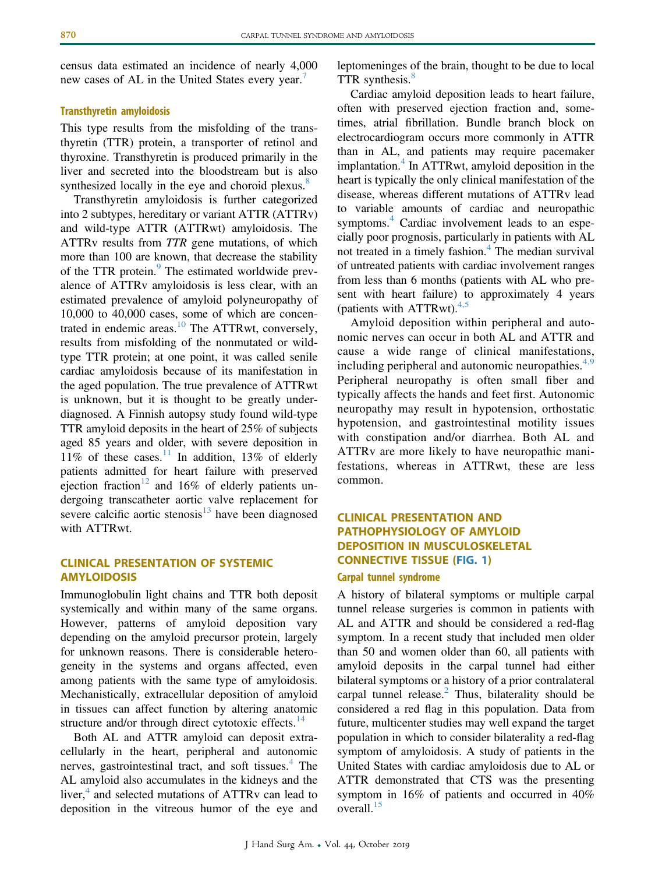census data estimated an incidence of nearly 4,000 new cases of AL in the United States every year.<sup>7</sup>

## Transthyretin amyloidosis

This type results from the misfolding of the transthyretin (TTR) protein, a transporter of retinol and thyroxine. Transthyretin is produced primarily in the liver and secreted into the bloodstream but is also synthesized locally in the eye and choroid plexus.<sup>8</sup>

Transthyretin amyloidosis is further categorized into 2 subtypes, hereditary or variant ATTR (ATTRv) and wild-type ATTR (ATTRwt) amyloidosis. The ATTRv results from TTR gene mutations, of which more than 100 are known, that decrease the stability of the TTR protein.<sup>[9](#page-8-0)</sup> The estimated worldwide prevalence of ATTRv amyloidosis is less clear, with an estimated prevalence of amyloid polyneuropathy of 10,000 to 40,000 cases, some of which are concentrated in endemic areas. $10$  The ATTRwt, conversely, results from misfolding of the nonmutated or wildtype TTR protein; at one point, it was called senile cardiac amyloidosis because of its manifestation in the aged population. The true prevalence of ATTRwt is unknown, but it is thought to be greatly underdiagnosed. A Finnish autopsy study found wild-type TTR amyloid deposits in the heart of 25% of subjects aged 85 years and older, with severe deposition in 11% of these cases.<sup>11</sup> In addition, 13% of elderly patients admitted for heart failure with preserved ejection fraction<sup>[12](#page-8-0)</sup> and 16% of elderly patients undergoing transcatheter aortic valve replacement for severe calcific aortic stenosis $13$  have been diagnosed with ATTRwt.

# CLINICAL PRESENTATION OF SYSTEMIC AMYLOIDOSIS

Immunoglobulin light chains and TTR both deposit systemically and within many of the same organs. However, patterns of amyloid deposition vary depending on the amyloid precursor protein, largely for unknown reasons. There is considerable heterogeneity in the systems and organs affected, even among patients with the same type of amyloidosis. Mechanistically, extracellular deposition of amyloid in tissues can affect function by altering anatomic structure and/or through direct cytotoxic effects. $14$ 

Both AL and ATTR amyloid can deposit extracellularly in the heart, peripheral and autonomic nerves, gastrointestinal tract, and soft tissues.<sup>4</sup> The AL amyloid also accumulates in the kidneys and the liver, $4$  and selected mutations of ATTRv can lead to deposition in the vitreous humor of the eye and leptomeninges of the brain, thought to be due to local TTR synthesis.<sup>[8](#page-8-0)</sup>

Cardiac amyloid deposition leads to heart failure, often with preserved ejection fraction and, sometimes, atrial fibrillation. Bundle branch block on electrocardiogram occurs more commonly in ATTR than in AL, and patients may require pacemaker implantation.<sup>4</sup> In ATTRwt, amyloid deposition in the heart is typically the only clinical manifestation of the disease, whereas different mutations of ATTRv lead to variable amounts of cardiac and neuropathic symptoms.<sup>4</sup> Cardiac involvement leads to an especially poor prognosis, particularly in patients with AL not treated in a timely fashion.<sup>4</sup> The median survival of untreated patients with cardiac involvement ranges from less than 6 months (patients with AL who present with heart failure) to approximately 4 years (patients with ATTRwt).<sup>4,5</sup>

Amyloid deposition within peripheral and autonomic nerves can occur in both AL and ATTR and cause a wide range of clinical manifestations, including peripheral and autonomic neuropathies. $4,9$ Peripheral neuropathy is often small fiber and typically affects the hands and feet first. Autonomic neuropathy may result in hypotension, orthostatic hypotension, and gastrointestinal motility issues with constipation and/or diarrhea. Both AL and ATTRv are more likely to have neuropathic manifestations, whereas in ATTRwt, these are less common.

# CLINICAL PRESENTATION AND PATHOPHYSIOLOGY OF AMYLOID DEPOSITION IN MUSCULOSKELETAL CONNECTIVE TISSUE ([FIG. 1](#page-3-0))

## Carpal tunnel syndrome

A history of bilateral symptoms or multiple carpal tunnel release surgeries is common in patients with AL and ATTR and should be considered a red-flag symptom. In a recent study that included men older than 50 and women older than 60, all patients with amyloid deposits in the carpal tunnel had either bilateral symptoms or a history of a prior contralateral carpal tunnel release. $<sup>2</sup>$  $<sup>2</sup>$  $<sup>2</sup>$  Thus, bilaterality should be</sup> considered a red flag in this population. Data from future, multicenter studies may well expand the target population in which to consider bilaterality a red-flag symptom of amyloidosis. A study of patients in the United States with cardiac amyloidosis due to AL or ATTR demonstrated that CTS was the presenting symptom in 16% of patients and occurred in 40% overall.<sup>[15](#page-8-0)</sup>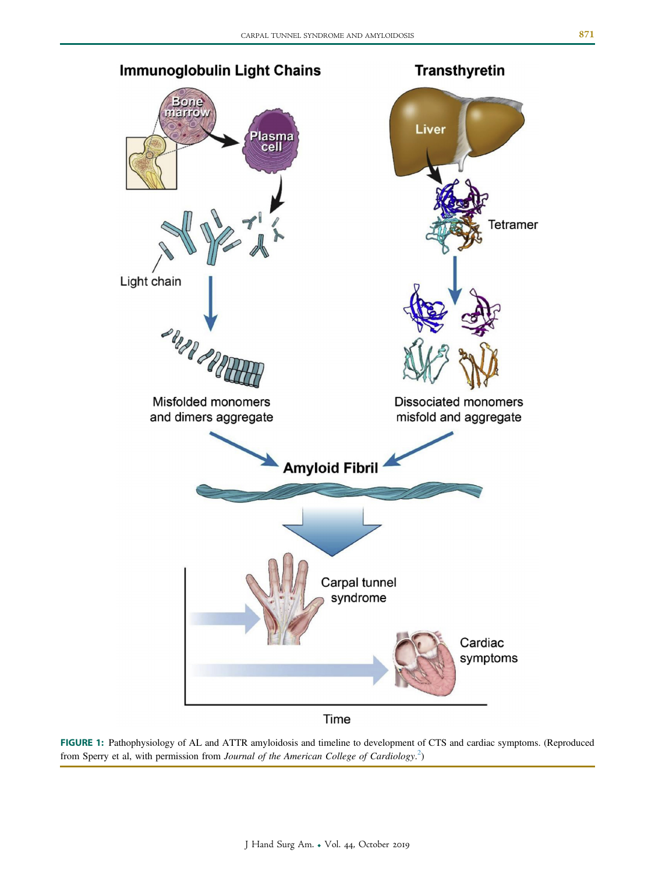<span id="page-3-0"></span>

FIGURE 1: Pathophysiology of AL and ATTR amyloidosis and timeline to development of CTS and cardiac symptoms. (Reproduced from Sperry et al, with permission from *Journal of the American College of Cardiology*.<sup>[2](#page-7-0)</sup>)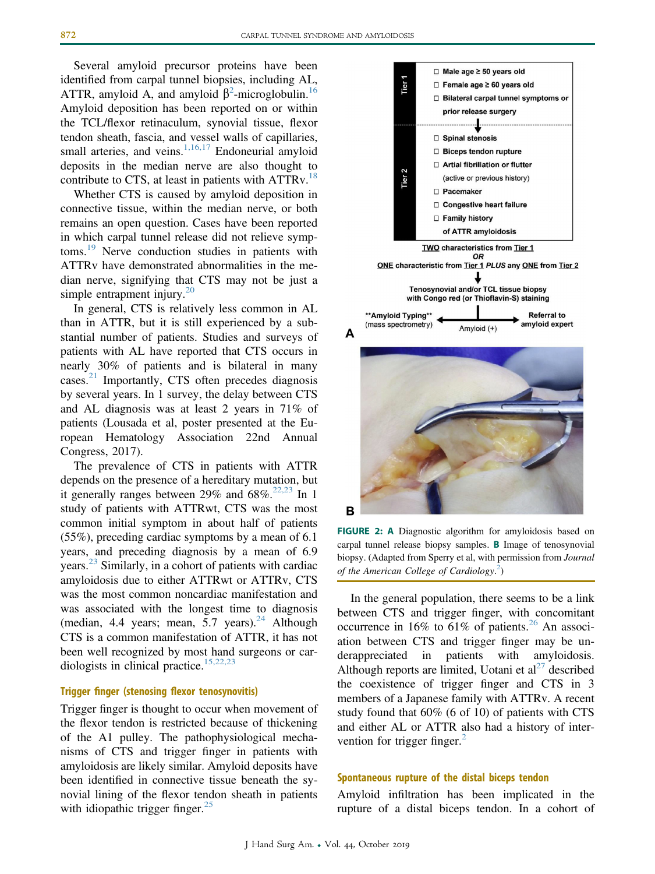<span id="page-4-0"></span>Several amyloid precursor proteins have been identified from carpal tunnel biopsies, including AL, ATTR, amyloid A, and amyloid  $\beta^2$  $\beta^2$ -microglobulin.<sup>[16](#page-8-0)</sup> Amyloid deposition has been reported on or within the TCL/flexor retinaculum, synovial tissue, flexor tendon sheath, fascia, and vessel walls of capillaries, small arteries, and veins.<sup>1,16,17</sup> Endoneurial amyloid deposits in the median nerve are also thought to contribute to CTS, at least in patients with ATTRv.<sup>[18](#page-8-0)</sup>

Whether CTS is caused by amyloid deposition in connective tissue, within the median nerve, or both remains an open question. Cases have been reported in which carpal tunnel release did not relieve symptoms.[19](#page-8-0) Nerve conduction studies in patients with ATTRv have demonstrated abnormalities in the median nerve, signifying that CTS may not be just a simple entrapment injury. $20$ 

In general, CTS is relatively less common in AL than in ATTR, but it is still experienced by a substantial number of patients. Studies and surveys of patients with AL have reported that CTS occurs in nearly 30% of patients and is bilateral in many cases.<sup>[21](#page-8-0)</sup> Importantly, CTS often precedes diagnosis by several years. In 1 survey, the delay between CTS and AL diagnosis was at least 2 years in 71% of patients (Lousada et al, poster presented at the European Hematology Association 22nd Annual Congress, 2017).

The prevalence of CTS in patients with ATTR depends on the presence of a hereditary mutation, but it generally ranges between 29% and  $68\%^{22,23}$  In 1 study of patients with ATTRwt, CTS was the most common initial symptom in about half of patients (55%), preceding cardiac symptoms by a mean of 6.1 years, and preceding diagnosis by a mean of 6.9 years.[23](#page-8-0) Similarly, in a cohort of patients with cardiac amyloidosis due to either ATTRwt or ATTRv, CTS was the most common noncardiac manifestation and was associated with the longest time to diagnosis (median, 4.4 years; mean, 5.7 years).<sup>24</sup> Although CTS is a common manifestation of ATTR, it has not been well recognized by most hand surgeons or car-diologists in clinical practice.<sup>[15,22,23](#page-8-0)</sup>

## Trigger finger (stenosing flexor tenosynovitis)

Trigger finger is thought to occur when movement of the flexor tendon is restricted because of thickening of the A1 pulley. The pathophysiological mechanisms of CTS and trigger finger in patients with amyloidosis are likely similar. Amyloid deposits have been identified in connective tissue beneath the synovial lining of the flexor tendon sheath in patients with idiopathic trigger finger. $^{25}$ 



FIGURE 2: A Diagnostic algorithm for amyloidosis based on carpal tunnel release biopsy samples. B Image of tenosynovial biopsy. (Adapted from Sperry et al, with permission from Journal of the American College of Cardiology.<sup>[2](#page-7-0)</sup>)

In the general population, there seems to be a link between CTS and trigger finger, with concomitant occurrence in 16% to 61% of patients.<sup>[26](#page-8-0)</sup> An association between CTS and trigger finger may be underappreciated in patients with amyloidosis. Although reports are limited, Uotani et  $al<sup>27</sup>$  described the coexistence of trigger finger and CTS in 3 members of a Japanese family with ATTRv. A recent study found that 60% (6 of 10) of patients with CTS and either AL or ATTR also had a history of intervention for trigger finger. $<sup>2</sup>$  $<sup>2</sup>$  $<sup>2</sup>$ </sup>

#### Spontaneous rupture of the distal biceps tendon

Amyloid infiltration has been implicated in the rupture of a distal biceps tendon. In a cohort of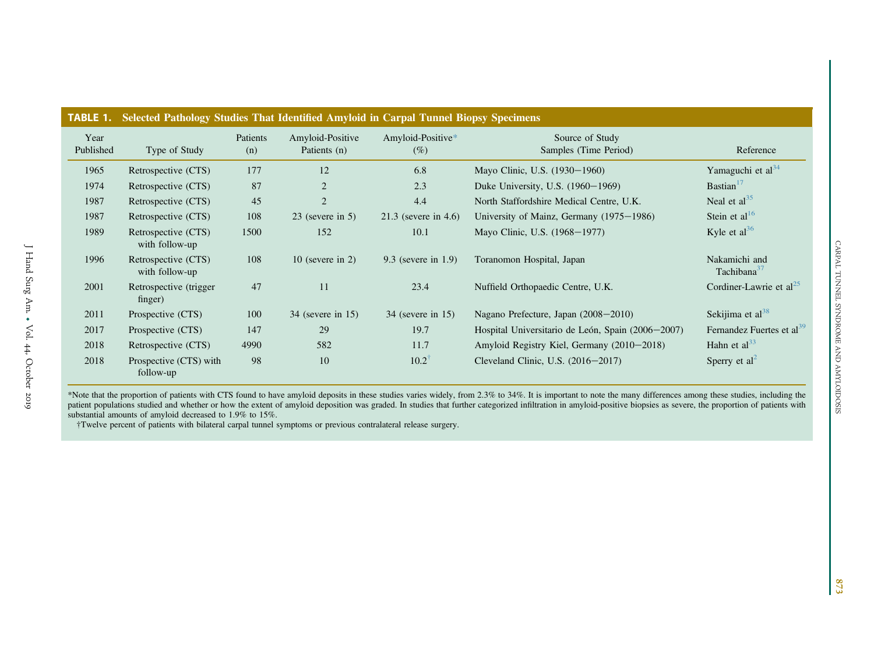<span id="page-5-0"></span>

|                   | <b>TABLE 1.</b> Selected Pathology Studies That Identified Amyloid in Carpal Tunnel Biopsy Specimens |                 |                                  |                             |                                                   |                                          |
|-------------------|------------------------------------------------------------------------------------------------------|-----------------|----------------------------------|-----------------------------|---------------------------------------------------|------------------------------------------|
| Year<br>Published | Type of Study                                                                                        | Patients<br>(n) | Amyloid-Positive<br>Patients (n) | Amyloid-Positive*<br>$(\%)$ | Source of Study<br>Samples (Time Period)          | Reference                                |
| 1965              | Retrospective (CTS)                                                                                  | 177             | 12                               | 6.8                         | Mayo Clinic, U.S. (1930–1960)                     | Yamaguchi et al $^{34}$                  |
| 1974              | Retrospective (CTS)                                                                                  | 87              | $\overline{2}$                   | 2.3                         | Duke University, U.S. (1960–1969)                 | Bastian <sup>17</sup>                    |
| 1987              | Retrospective (CTS)                                                                                  | 45              | $\overline{2}$                   | 4.4                         | North Staffordshire Medical Centre, U.K.          | Neal et $al^{35}$                        |
| 1987              | Retrospective (CTS)                                                                                  | 108             | $23$ (severe in 5)               | 21.3 (severe in $4.6$ )     | University of Mainz, Germany (1975–1986)          | Stein et al $^{16}$                      |
| 1989              | Retrospective (CTS)<br>with follow-up                                                                | 1500            | 152                              | 10.1                        | Mayo Clinic, U.S. (1968–1977)                     | Kyle et al <sup>36</sup>                 |
| 1996              | Retrospective (CTS)<br>with follow-up                                                                | 108             | 10 (severe in 2)                 | $9.3$ (severe in 1.9)       | Toranomon Hospital, Japan                         | Nakamichi and<br>Tachibana <sup>37</sup> |
| 2001              | Retrospective (trigger)<br>finger)                                                                   | 47              | 11                               | 23.4                        | Nuffield Orthopaedic Centre, U.K.                 | Cordiner-Lawrie et al <sup>25</sup>      |
| 2011              | Prospective (CTS)                                                                                    | 100             | $34$ (severe in 15)              | $34$ (severe in 15)         | Nagano Prefecture, Japan (2008–2010)              | Sekijima et $al^{38}$                    |
| 2017              | Prospective (CTS)                                                                                    | 147             | 29                               | 19.7                        | Hospital Universitario de León, Spain (2006-2007) | Fernandez Fuertes et al <sup>39</sup>    |
| 2018              | Retrospective (CTS)                                                                                  | 4990            | 582                              | 11.7                        | Amyloid Registry Kiel, Germany (2010–2018)        | Hahn et $al^{33}$                        |
| 2018              | Prospective (CTS) with<br>follow-up                                                                  | 98              | 10                               | $10.2^{\dagger}$            | Cleveland Clinic, U.S. $(2016-2017)$              | Sperry et al <sup>2</sup>                |

\*Note that the proportion of patients with CTS found to have amyloid deposits in these studies varies widely, from 2.3% to 34%. It is important to note the many differences among these studies, including the patient populations studied and whether or how the extent of amyloid deposition was graded. In studies that further categorized infiltration in amyloid-positive biopsies as severe, the proportion of patients with substantial amounts of amyloid decreased to 1.9% to 15%.

†Twelve percen<sup>t</sup> of patients with bilateral carpal tunnel symptoms or previous contralateral release surgery.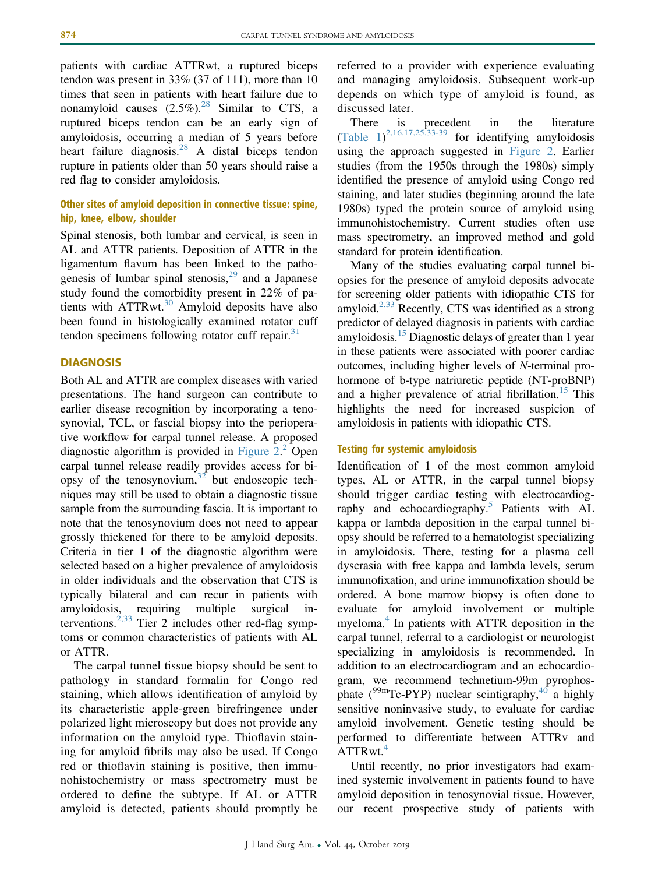patients with cardiac ATTRwt, a ruptured biceps tendon was present in 33% (37 of 111), more than 10 times that seen in patients with heart failure due to nonamyloid causes  $(2.5\%)$ .<sup>28</sup> Similar to CTS, a ruptured biceps tendon can be an early sign of amyloidosis, occurring a median of 5 years before heart failure diagnosis.<sup>[28](#page-8-0)</sup> A distal biceps tendon rupture in patients older than 50 years should raise a red flag to consider amyloidosis.

## Other sites of amyloid deposition in connective tissue: spine, hip, knee, elbow, shoulder

Spinal stenosis, both lumbar and cervical, is seen in AL and ATTR patients. Deposition of ATTR in the ligamentum flavum has been linked to the pathogenesis of lumbar spinal stenosis, $2^9$  and a Japanese study found the comorbidity present in 22% of pa-tients with ATTRwt.<sup>[30](#page-8-0)</sup> Amyloid deposits have also been found in histologically examined rotator cuff tendon specimens following rotator cuff repair. $31$ 

#### **DIAGNOSIS**

Both AL and ATTR are complex diseases with varied presentations. The hand surgeon can contribute to earlier disease recognition by incorporating a tenosynovial, TCL, or fascial biopsy into the perioperative workflow for carpal tunnel release. A proposed diagnostic algorithm is provided in Figure  $2^2$  $2^2$  Open carpal tunnel release readily provides access for biopsy of the tenosynovium, $32$  but endoscopic techniques may still be used to obtain a diagnostic tissue sample from the surrounding fascia. It is important to note that the tenosynovium does not need to appear grossly thickened for there to be amyloid deposits. Criteria in tier 1 of the diagnostic algorithm were selected based on a higher prevalence of amyloidosis in older individuals and the observation that CTS is typically bilateral and can recur in patients with amyloidosis, requiring multiple surgical interventions.[2,33](#page-7-0) Tier 2 includes other red-flag symptoms or common characteristics of patients with AL or ATTR.

The carpal tunnel tissue biopsy should be sent to pathology in standard formalin for Congo red staining, which allows identification of amyloid by its characteristic apple-green birefringence under polarized light microscopy but does not provide any information on the amyloid type. Thioflavin staining for amyloid fibrils may also be used. If Congo red or thioflavin staining is positive, then immunohistochemistry or mass spectrometry must be ordered to define the subtype. If AL or ATTR amyloid is detected, patients should promptly be

referred to a provider with experience evaluating and managing amyloidosis. Subsequent work-up depends on which type of amyloid is found, as discussed later.

There is precedent in the literature (Table  $1)^{2,16,17,25,33-39}$  $1)^{2,16,17,25,33-39}$  $1)^{2,16,17,25,33-39}$  for identifying amyloidosis using the approach suggested in [Figure 2.](#page-4-0) Earlier studies (from the 1950s through the 1980s) simply identified the presence of amyloid using Congo red staining, and later studies (beginning around the late 1980s) typed the protein source of amyloid using immunohistochemistry. Current studies often use mass spectrometry, an improved method and gold standard for protein identification.

Many of the studies evaluating carpal tunnel biopsies for the presence of amyloid deposits advocate for screening older patients with idiopathic CTS for amyloid.<sup>[2,33](#page-7-0)</sup> Recently, CTS was identified as a strong predictor of delayed diagnosis in patients with cardiac amyloidosis.<sup>[15](#page-8-0)</sup> Diagnostic delays of greater than 1 year in these patients were associated with poorer cardiac outcomes, including higher levels of N-terminal prohormone of b-type natriuretic peptide (NT-proBNP) and a higher prevalence of atrial fibrillation.<sup>15</sup> This highlights the need for increased suspicion of amyloidosis in patients with idiopathic CTS.

#### Testing for systemic amyloidosis

Identification of 1 of the most common amyloid types, AL or ATTR, in the carpal tunnel biopsy should trigger cardiac testing with electrocardiog-raphy and echocardiography.<sup>[5](#page-8-0)</sup> Patients with  $AL$ kappa or lambda deposition in the carpal tunnel biopsy should be referred to a hematologist specializing in amyloidosis. There, testing for a plasma cell dyscrasia with free kappa and lambda levels, serum immunofixation, and urine immunofixation should be ordered. A bone marrow biopsy is often done to evaluate for amyloid involvement or multiple myeloma.<sup>4</sup> In patients with ATTR deposition in the carpal tunnel, referral to a cardiologist or neurologist specializing in amyloidosis is recommended. In addition to an electrocardiogram and an echocardiogram, we recommend technetium-99m pyrophosphate  $(^{99}$ mTc-PYP) nuclear scintigraphy,<sup>[40](#page-8-0)</sup> a highly sensitive noninvasive study, to evaluate for cardiac amyloid involvement. Genetic testing should be performed to differentiate between ATTRv and ATTRwt.<sup>[4](#page-8-0)</sup>

Until recently, no prior investigators had examined systemic involvement in patients found to have amyloid deposition in tenosynovial tissue. However, our recent prospective study of patients with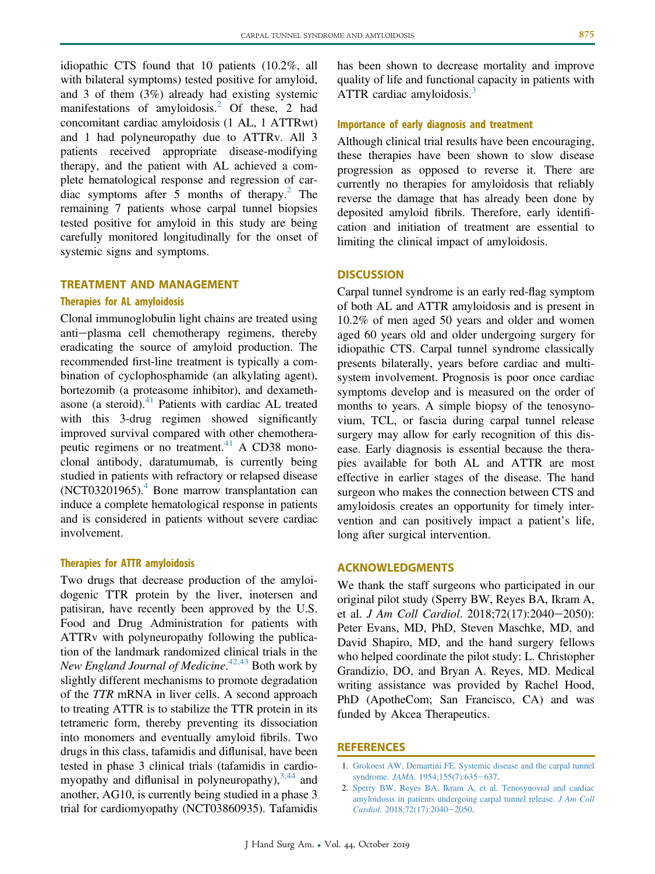<span id="page-7-0"></span>idiopathic CTS found that 10 patients (10.2%, all with bilateral symptoms) tested positive for amyloid, and 3 of them (3%) already had existing systemic manifestations of amyloidosis.<sup>2</sup> Of these, 2 had concomitant cardiac amyloidosis (1 AL, 1 ATTRwt) and 1 had polyneuropathy due to ATTRv. All 3 patients received appropriate disease-modifying therapy, and the patient with AL achieved a complete hematological response and regression of cardiac symptoms after 5 months of therapy. $^2$  The remaining 7 patients whose carpal tunnel biopsies tested positive for amyloid in this study are being carefully monitored longitudinally for the onset of systemic signs and symptoms.

## TREATMENT AND MANAGEMENT

#### Therapies for AL amyloidosis

Clonal immunoglobulin light chains are treated using anti-plasma cell chemotherapy regimens, thereby eradicating the source of amyloid production. The recommended first-line treatment is typically a combination of cyclophosphamide (an alkylating agent), bortezomib (a proteasome inhibitor), and dexamethasone (a steroid). $41$  Patients with cardiac AL treated with this 3-drug regimen showed significantly improved survival compared with other chemotherapeutic regimens or no treatment.<sup>41</sup> A CD38 monoclonal antibody, daratumumab, is currently being studied in patients with refractory or relapsed disease  $(NOT03201965).$ <sup>4</sup> Bone marrow transplantation can induce a complete hematological response in patients and is considered in patients without severe cardiac involvement.

### Therapies for ATTR amyloidosis

Two drugs that decrease production of the amyloidogenic TTR protein by the liver, inotersen and patisiran, have recently been approved by the U.S. Food and Drug Administration for patients with ATTRv with polyneuropathy following the publication of the landmark randomized clinical trials in the New England Journal of Medicine.<sup>[42,43](#page-8-0)</sup> Both work by slightly different mechanisms to promote degradation of the TTR mRNA in liver cells. A second approach to treating ATTR is to stabilize the TTR protein in its tetrameric form, thereby preventing its dissociation into monomers and eventually amyloid fibrils. Two drugs in this class, tafamidis and diflunisal, have been tested in phase 3 clinical trials (tafamidis in cardiomyopathy and diflunisal in polyneuropathy),  $3,44$  and another, AG10, is currently being studied in a phase 3 trial for cardiomyopathy (NCT03860935). Tafamidis has been shown to decrease mortality and improve quality of life and functional capacity in patients with ATTR cardiac amyloidosis. $3$ 

#### Importance of early diagnosis and treatment

Although clinical trial results have been encouraging, these therapies have been shown to slow disease progression as opposed to reverse it. There are currently no therapies for amyloidosis that reliably reverse the damage that has already been done by deposited amyloid fibrils. Therefore, early identification and initiation of treatment are essential to limiting the clinical impact of amyloidosis.

## **DISCUSSION**

Carpal tunnel syndrome is an early red-flag symptom of both AL and ATTR amyloidosis and is present in 10.2% of men aged 50 years and older and women aged 60 years old and older undergoing surgery for idiopathic CTS. Carpal tunnel syndrome classically presents bilaterally, years before cardiac and multisystem involvement. Prognosis is poor once cardiac symptoms develop and is measured on the order of months to years. A simple biopsy of the tenosynovium, TCL, or fascia during carpal tunnel release surgery may allow for early recognition of this disease. Early diagnosis is essential because the therapies available for both AL and ATTR are most effective in earlier stages of the disease. The hand surgeon who makes the connection between CTS and amyloidosis creates an opportunity for timely intervention and can positively impact a patient's life, long after surgical intervention.

#### ACKNOWLEDGMENTS

We thank the staff surgeons who participated in our original pilot study (Sperry BW, Reyes BA, Ikram A, et al. J Am Coll Cardiol. 2018;72(17):2040-2050): Peter Evans, MD, PhD, Steven Maschke, MD, and David Shapiro, MD, and the hand surgery fellows who helped coordinate the pilot study: L. Christopher Grandizio, DO, and Bryan A. Reyes, MD. Medical writing assistance was provided by Rachel Hood, PhD (ApotheCom; San Francisco, CA) and was funded by Akcea Therapeutics.

#### REFERENCES

1. [Grokoest AW, Demartini FE. Systemic disease and the carpal tunnel](http://refhub.elsevier.com/S0363-5023(19)30384-3/sref1) syndrome. JAMA[. 1954;155\(7\):635](http://refhub.elsevier.com/S0363-5023(19)30384-3/sref1)-[637.](http://refhub.elsevier.com/S0363-5023(19)30384-3/sref1)

<sup>2.</sup> [Sperry BW, Reyes BA, Ikram A, et al. Tenosynovial and cardiac](http://refhub.elsevier.com/S0363-5023(19)30384-3/sref2) [amyloidosis in patients undergoing carpal tunnel release.](http://refhub.elsevier.com/S0363-5023(19)30384-3/sref2) J Am Coll Cardiol[. 2018;72\(17\):2040](http://refhub.elsevier.com/S0363-5023(19)30384-3/sref2)-[2050](http://refhub.elsevier.com/S0363-5023(19)30384-3/sref2).